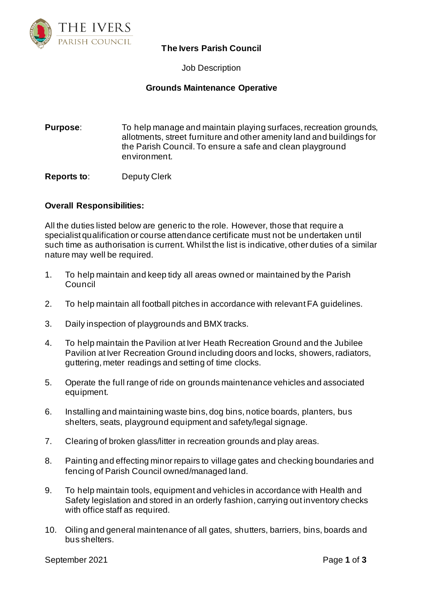

## **The Ivers Parish Council**

Job Description

## **Grounds Maintenance Operative**

**Purpose:** To help manage and maintain playing surfaces, recreation grounds, allotments, street furniture and other amenity land and buildings for the Parish Council. To ensure a safe and clean playground environment.

**Reports to**: Deputy Clerk

## **Overall Responsibilities:**

All the duties listed below are generic to the role. However, those that require a specialist qualification or course attendance certificate must not be undertaken until such time as authorisation is current. Whilst the list is indicative, other duties of a similar nature may well be required.

- 1. To help maintain and keep tidy all areas owned or maintained by the Parish Council
- 2. To help maintain all football pitches in accordance with relevant FA guidelines.
- 3. Daily inspection of playgrounds and BMX tracks.
- 4. To help maintain the Pavilion at Iver Heath Recreation Ground and the Jubilee Pavilion at Iver Recreation Ground including doors and locks, showers, radiators, guttering, meter readings and setting of time clocks.
- 5. Operate the full range of ride on grounds maintenance vehicles and associated equipment.
- 6. Installing and maintaining waste bins, dog bins, notice boards, planters, bus shelters, seats, playground equipment and safety/legal signage.
- 7. Clearing of broken glass/litter in recreation grounds and play areas.
- 8. Painting and effecting minor repairs to village gates and checking boundaries and fencing of Parish Council owned/managed land.
- 9. To help maintain tools, equipment and vehicles in accordance with Health and Safety legislation and stored in an orderly fashion, carrying out inventory checks with office staff as required.
- 10. Oiling and general maintenance of all gates, shutters, barriers, bins, boards and bus shelters.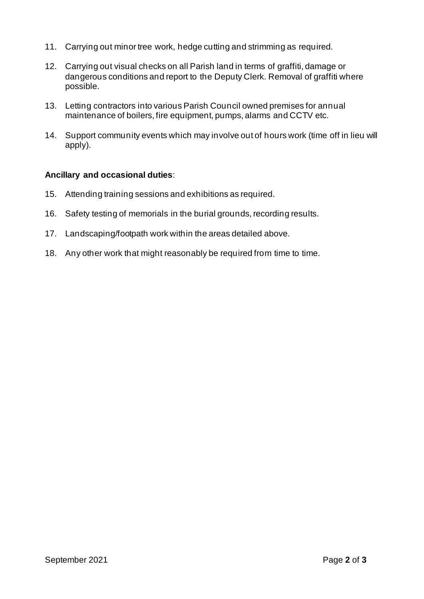- 11. Carrying out minor tree work, hedge cutting and strimming as required.
- 12. Carrying out visual checks on all Parish land in terms of graffiti, damage or dangerous conditions and report to the Deputy Clerk. Removal of graffiti where possible.
- 13. Letting contractors into various Parish Council owned premises for annual maintenance of boilers, fire equipment, pumps, alarms and CCTV etc.
- 14. Support community events which may involve out of hours work (time off in lieu will apply).

## **Ancillary and occasional duties**:

- 15. Attending training sessions and exhibitions as required.
- 16. Safety testing of memorials in the burial grounds, recording results.
- 17. Landscaping/footpath work within the areas detailed above.
- 18. Any other work that might reasonably be required from time to time.